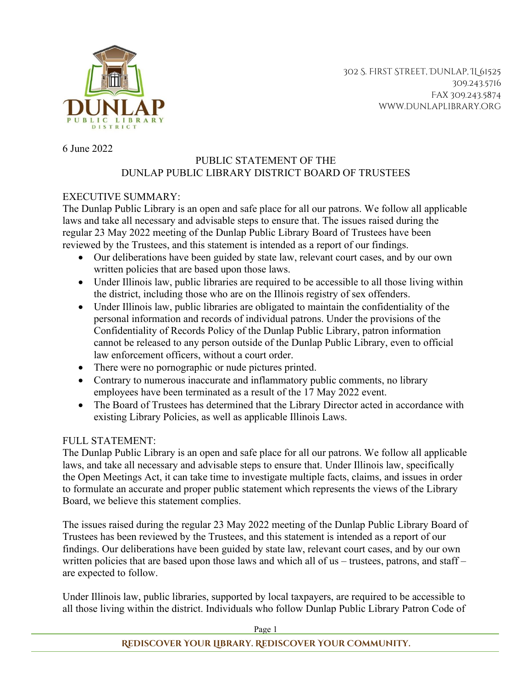

302 S. First Street, Dunlap, IL 61525 309.243.5716 Fax 309.243.5874 www.dunlaplibrary.org

6 June 2022

## PUBLIC STATEMENT OF THE DUNLAP PUBLIC LIBRARY DISTRICT BOARD OF TRUSTEES

## EXECUTIVE SUMMARY:

The Dunlap Public Library is an open and safe place for all our patrons. We follow all applicable laws and take all necessary and advisable steps to ensure that. The issues raised during the regular 23 May 2022 meeting of the Dunlap Public Library Board of Trustees have been reviewed by the Trustees, and this statement is intended as a report of our findings.

- Our deliberations have been guided by state law, relevant court cases, and by our own written policies that are based upon those laws.
- Under Illinois law, public libraries are required to be accessible to all those living within the district, including those who are on the Illinois registry of sex offenders.
- Under Illinois law, public libraries are obligated to maintain the confidentiality of the personal information and records of individual patrons. Under the provisions of the Confidentiality of Records Policy of the Dunlap Public Library, patron information cannot be released to any person outside of the Dunlap Public Library, even to official law enforcement officers, without a court order.
- There were no pornographic or nude pictures printed.
- Contrary to numerous inaccurate and inflammatory public comments, no library employees have been terminated as a result of the 17 May 2022 event.
- The Board of Trustees has determined that the Library Director acted in accordance with existing Library Policies, as well as applicable Illinois Laws.

## FULL STATEMENT:

The Dunlap Public Library is an open and safe place for all our patrons. We follow all applicable laws, and take all necessary and advisable steps to ensure that. Under Illinois law, specifically the Open Meetings Act, it can take time to investigate multiple facts, claims, and issues in order to formulate an accurate and proper public statement which represents the views of the Library Board, we believe this statement complies.

The issues raised during the regular 23 May 2022 meeting of the Dunlap Public Library Board of Trustees has been reviewed by the Trustees, and this statement is intended as a report of our findings. Our deliberations have been guided by state law, relevant court cases, and by our own written policies that are based upon those laws and which all of us – trustees, patrons, and staff – are expected to follow.

Under Illinois law, public libraries, supported by local taxpayers, are required to be accessible to all those living within the district. Individuals who follow Dunlap Public Library Patron Code of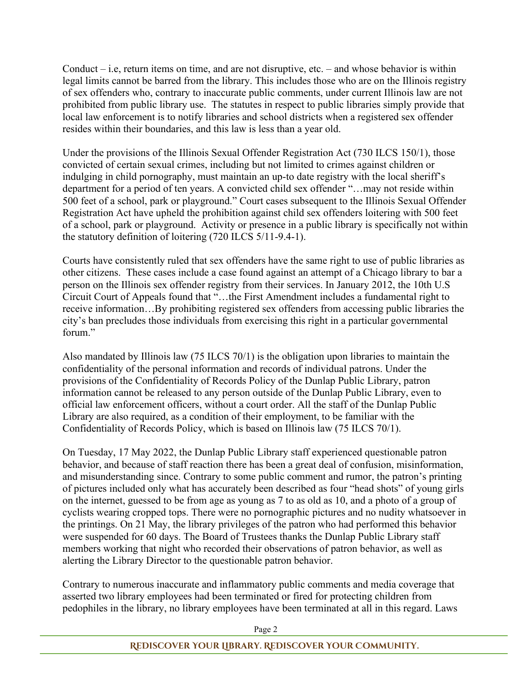Conduct  $-$  i.e, return items on time, and are not disruptive, etc.  $-$  and whose behavior is within legal limits cannot be barred from the library. This includes those who are on the Illinois registry of sex offenders who, contrary to inaccurate public comments, under current Illinois law are not prohibited from public library use. The statutes in respect to public libraries simply provide that local law enforcement is to notify libraries and school districts when a registered sex offender resides within their boundaries, and this law is less than a year old.

Under the provisions of the Illinois Sexual Offender Registration Act (730 ILCS 150/1), those convicted of certain sexual crimes, including but not limited to crimes against children or indulging in child pornography, must maintain an up-to date registry with the local sheriff's department for a period of ten years. A convicted child sex offender "…may not reside within 500 feet of a school, park or playground." Court cases subsequent to the Illinois Sexual Offender Registration Act have upheld the prohibition against child sex offenders loitering with 500 feet of a school, park or playground. Activity or presence in a public library is specifically not within the statutory definition of loitering (720 ILCS 5/11-9.4-1).

Courts have consistently ruled that sex offenders have the same right to use of public libraries as other citizens. These cases include a case found against an attempt of a Chicago library to bar a person on the Illinois sex offender registry from their services. In January 2012, the 10th U.S Circuit Court of Appeals found that "…the First Amendment includes a fundamental right to receive information…By prohibiting registered sex offenders from accessing public libraries the city's ban precludes those individuals from exercising this right in a particular governmental forum."

Also mandated by Illinois law (75 ILCS 70/1) is the obligation upon libraries to maintain the confidentiality of the personal information and records of individual patrons. Under the provisions of the Confidentiality of Records Policy of the Dunlap Public Library, patron information cannot be released to any person outside of the Dunlap Public Library, even to official law enforcement officers, without a court order. All the staff of the Dunlap Public Library are also required, as a condition of their employment, to be familiar with the Confidentiality of Records Policy, which is based on Illinois law (75 ILCS 70/1).

On Tuesday, 17 May 2022, the Dunlap Public Library staff experienced questionable patron behavior, and because of staff reaction there has been a great deal of confusion, misinformation, and misunderstanding since. Contrary to some public comment and rumor, the patron's printing of pictures included only what has accurately been described as four "head shots" of young girls on the internet, guessed to be from age as young as 7 to as old as 10, and a photo of a group of cyclists wearing cropped tops. There were no pornographic pictures and no nudity whatsoever in the printings. On 21 May, the library privileges of the patron who had performed this behavior were suspended for 60 days. The Board of Trustees thanks the Dunlap Public Library staff members working that night who recorded their observations of patron behavior, as well as alerting the Library Director to the questionable patron behavior.

Contrary to numerous inaccurate and inflammatory public comments and media coverage that asserted two library employees had been terminated or fired for protecting children from pedophiles in the library, no library employees have been terminated at all in this regard. Laws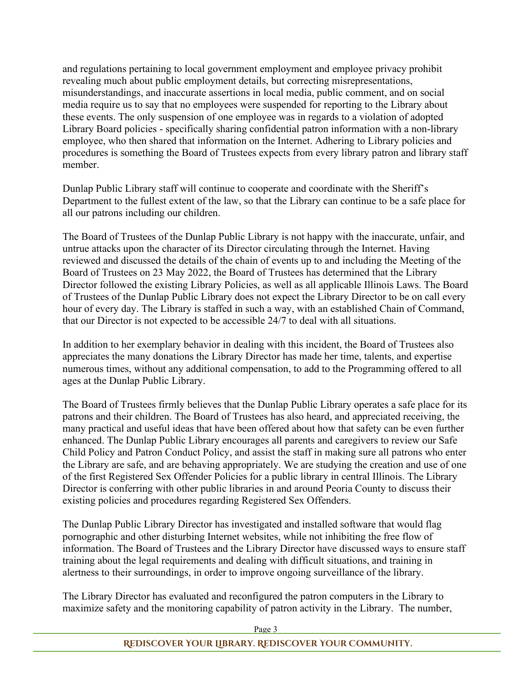and regulations pertaining to local government employment and employee privacy prohibit revealing much about public employment details, but correcting misrepresentations, misunderstandings, and inaccurate assertions in local media, public comment, and on social media require us to say that no employees were suspended for reporting to the Library about these events. The only suspension of one employee was in regards to a violation of adopted Library Board policies - specifically sharing confidential patron information with a non-library employee, who then shared that information on the Internet. Adhering to Library policies and procedures is something the Board of Trustees expects from every library patron and library staff member.

Dunlap Public Library staff will continue to cooperate and coordinate with the Sheriff's Department to the fullest extent of the law, so that the Library can continue to be a safe place for all our patrons including our children.

The Board of Trustees of the Dunlap Public Library is not happy with the inaccurate, unfair, and untrue attacks upon the character of its Director circulating through the Internet. Having reviewed and discussed the details of the chain of events up to and including the Meeting of the Board of Trustees on 23 May 2022, the Board of Trustees has determined that the Library Director followed the existing Library Policies, as well as all applicable Illinois Laws. The Board of Trustees of the Dunlap Public Library does not expect the Library Director to be on call every hour of every day. The Library is staffed in such a way, with an established Chain of Command, that our Director is not expected to be accessible 24/7 to deal with all situations.

In addition to her exemplary behavior in dealing with this incident, the Board of Trustees also appreciates the many donations the Library Director has made her time, talents, and expertise numerous times, without any additional compensation, to add to the Programming offered to all ages at the Dunlap Public Library.

The Board of Trustees firmly believes that the Dunlap Public Library operates a safe place for its patrons and their children. The Board of Trustees has also heard, and appreciated receiving, the many practical and useful ideas that have been offered about how that safety can be even further enhanced. The Dunlap Public Library encourages all parents and caregivers to review our Safe Child Policy and Patron Conduct Policy, and assist the staff in making sure all patrons who enter the Library are safe, and are behaving appropriately. We are studying the creation and use of one of the first Registered Sex Offender Policies for a public library in central Illinois. The Library Director is conferring with other public libraries in and around Peoria County to discuss their existing policies and procedures regarding Registered Sex Offenders.

The Dunlap Public Library Director has investigated and installed software that would flag pornographic and other disturbing Internet websites, while not inhibiting the free flow of information. The Board of Trustees and the Library Director have discussed ways to ensure staff training about the legal requirements and dealing with difficult situations, and training in alertness to their surroundings, in order to improve ongoing surveillance of the library.

The Library Director has evaluated and reconfigured the patron computers in the Library to maximize safety and the monitoring capability of patron activity in the Library. The number,